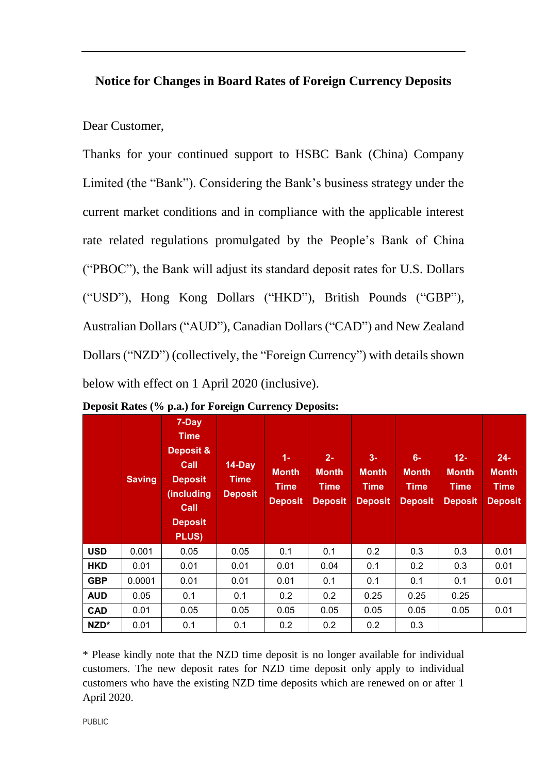## **Notice for Changes in Board Rates of Foreign Currency Deposits**

## Dear Customer,

Thanks for your continued support to HSBC Bank (China) Company Limited (the "Bank"). Considering the Bank's business strategy under the current market conditions and in compliance with the applicable interest rate related regulations promulgated by the People's Bank of China ("PBOC"), the Bank will adjust its standard deposit rates for U.S. Dollars ("USD"), Hong Kong Dollars ("HKD"), British Pounds ("GBP"), Australian Dollars ("AUD"), Canadian Dollars ("CAD") and New Zealand Dollars ("NZD") (collectively, the "Foreign Currency") with details shown below with effect on 1 April 2020 (inclusive).

|            | <b>Saving</b> | 7-Day<br><b>Time</b><br>Deposit &<br>Call<br><b>Deposit</b><br>(including<br>Call<br><b>Deposit</b><br><b>PLUS)</b> | 14-Day<br><b>Time</b><br><b>Deposit</b> | $1 -$<br><b>Month</b><br><b>Time</b><br><b>Deposit</b> | $2 -$<br><b>Month</b><br><b>Time</b><br><b>Deposit</b> | $3-$<br><b>Month</b><br><b>Time</b><br><b>Deposit</b> | $6-$<br><b>Month</b><br><b>Time</b><br><b>Deposit</b> | $12 -$<br><b>Month</b><br><b>Time</b><br><b>Deposit</b> | $24-$<br><b>Month</b><br><b>Time</b><br><b>Deposit</b> |
|------------|---------------|---------------------------------------------------------------------------------------------------------------------|-----------------------------------------|--------------------------------------------------------|--------------------------------------------------------|-------------------------------------------------------|-------------------------------------------------------|---------------------------------------------------------|--------------------------------------------------------|
| <b>USD</b> | 0.001         | 0.05                                                                                                                | 0.05                                    | 0.1                                                    | 0.1                                                    | 0.2                                                   | 0.3                                                   | 0.3                                                     | 0.01                                                   |
| <b>HKD</b> | 0.01          | 0.01                                                                                                                | 0.01                                    | 0.01                                                   | 0.04                                                   | 0.1                                                   | 0.2                                                   | 0.3                                                     | 0.01                                                   |
| <b>GBP</b> | 0.0001        | 0.01                                                                                                                | 0.01                                    | 0.01                                                   | 0.1                                                    | 0.1                                                   | 0.1                                                   | 0.1                                                     | 0.01                                                   |
| <b>AUD</b> | 0.05          | 0.1                                                                                                                 | 0.1                                     | 0.2                                                    | 0.2                                                    | 0.25                                                  | 0.25                                                  | 0.25                                                    |                                                        |
| <b>CAD</b> | 0.01          | 0.05                                                                                                                | 0.05                                    | 0.05                                                   | 0.05                                                   | 0.05                                                  | 0.05                                                  | 0.05                                                    | 0.01                                                   |
| NZD*       | 0.01          | 0.1                                                                                                                 | 0.1                                     | 0.2                                                    | 0.2                                                    | 0.2                                                   | 0.3                                                   |                                                         |                                                        |

**Deposit Rates (% p.a.) for Foreign Currency Deposits:**

\* Please kindly note that the NZD time deposit is no longer available for individual customers. The new deposit rates for NZD time deposit only apply to individual customers who have the existing NZD time deposits which are renewed on or after 1 April 2020.